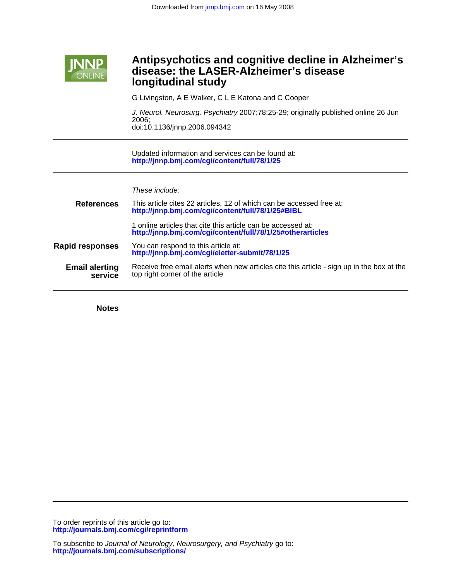

# **longitudinal study disease: the LASER-Alzheimer's disease Antipsychotics and cognitive decline in Alzheimer's**

G Livingston, A E Walker, C L E Katona and C Cooper

doi:10.1136/jnnp.2006.094342 2006; J. Neurol. Neurosurg. Psychiatry 2007;78;25-29; originally published online 26 Jun

**<http://jnnp.bmj.com/cgi/content/full/78/1/25>** Updated information and services can be found at:

| These include: |  |
|----------------|--|
|                |  |

| <b>References</b>                | This article cites 22 articles, 12 of which can be accessed free at:<br>http://jnnp.bmj.com/cgi/content/full/78/1/25#BIBL    |
|----------------------------------|------------------------------------------------------------------------------------------------------------------------------|
|                                  | 1 online articles that cite this article can be accessed at:<br>http://jnnp.bmj.com/cgi/content/full/78/1/25#otherarticles   |
| <b>Rapid responses</b>           | You can respond to this article at:<br>http://jnnp.bmj.com/cgi/eletter-submit/78/1/25                                        |
| <b>Email alerting</b><br>service | Receive free email alerts when new articles cite this article - sign up in the box at the<br>top right corner of the article |
|                                  |                                                                                                                              |

**Notes**

**<http://journals.bmj.com/cgi/reprintform>** To order reprints of this article go to: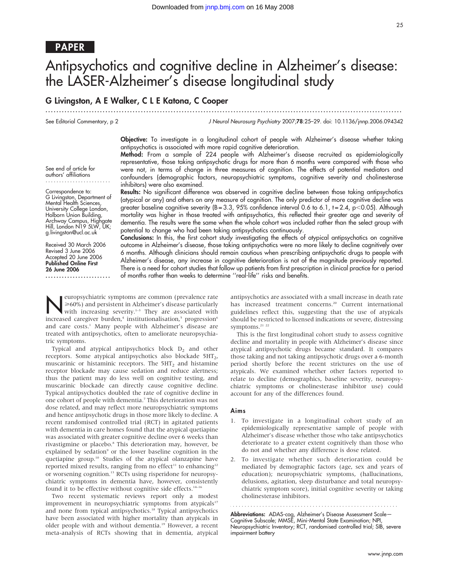# PAPER

# Antipsychotics and cognitive decline in Alzheimer's disease: the LASER-Alzheimer's disease longitudinal study

............................................................... ............................................................... .....

# G Livingston, A E Walker, C L E Katona, C Cooper

See Editorial Commentary, p 2

Correspondence to: G Livingston, Department of Mental Health Sciences, University College London, Holborn Union Building, Archway Campus, Highgate Hill, London N19 5LW, UK; g.livingston@ucl.ac.uk Received 30 March 2006 Revised 3 June 2006 Accepted 20 June 2006 Published Online First 26 June 2006

........................

J Neurol Neurosurg Psychiatry 2007;78:25–29. doi: 10.1136/jnnp.2006.094342

Objective: To investigate in a longitudinal cohort of people with Alzheimer's disease whether taking antipsychotics is associated with more rapid cognitive deterioration. Method: From a sample of 224 people with Alzheimer's disease recruited as epidemiologically

See end of article for authors' affiliations ........................ representative, those taking antipsychotic drugs for more than 6 months were compared with those who were not, in terms of change in three measures of cognition. The effects of potential mediators and confounders (demographic factors, neuropsychiatric symptoms, cognitive severity and cholinesterase inhibitors) were also examined.

> Results: No significant difference was observed in cognitive decline between those taking antipsychotics (atypical or any) and others on any measure of cognition. The only predictor of more cognitive decline was greater baseline cognitive severity ( $B = 3.3$ , 95% confidence interval 0.6 to 6.1, t = 2.4, p $\lt$ 0.05). Although mortality was higher in those treated with antipsychotics, this reflected their greater age and severity of dementia. The results were the same when the whole cohort was included rather than the select group with potential to change who had been taking antipsychotics continuously.

> Conclusions: In this, the first cohort study investigating the effects of atypical antipsychotics on cognitive outcome in Alzheimer's disease, those taking antipsychotics were no more likely to decline cognitively over 6 months. Although clinicians should remain cautious when prescribing antipsychotic drugs to people with Alzheimer's disease, any increase in cognitive deterioration is not of the magnitude previously reported. There is a need for cohort studies that follow up patients from first prescription in clinical practice for a period of months rather than weeks to determine ''real-life'' risks and benefits.

Neuropsychiatric symptoms are common (prevalence rate<br>
≫60%) and persistent in Alzheimer's disease particularly<br>
with increasing severity.<sup>1→3</sup> They are associated with<br>
increased caregives burden <sup>4</sup> institutionalisation >60%) and persistent in Alzheimer's disease particularly increased caregiver burden,<sup>4</sup> institutionalisation,<sup>5</sup> progression<sup>6</sup> and care costs.<sup>1</sup> Many people with Alzheimer's disease are treated with antipsychotics, often to ameliorate neuropsychiatric symptoms.

Typical and atypical antipsychotics block  $D_2$  and other receptors. Some atypical antipsychotics also blockade 5HT2, muscarinic or histaminic receptors. The  $5HT<sub>2</sub>$  and histamine receptor blockade may cause sedation and reduce alertness; thus the patient may do less well on cognitive testing, and muscarinic blockade can directly cause cognitive decline. Typical antipsychotics doubled the rate of cognitive decline in one cohort of people with dementia.7 This deterioration was not dose related, and may reflect more neuropsychiatric symptoms and hence antipsychotic drugs in those more likely to decline. A recent randomised controlled trial (RCT) in agitated patients with dementia in care homes found that the atypical quetiapine was associated with greater cognitive decline over 6 weeks than rivastigmine or placebo.<sup>8</sup> This deterioration may, however, be explained by sedation<sup>9</sup> or the lower baseline cognition in the quetiapine group.<sup>10</sup> Studies of the atypical olanzapine have reported mixed results, ranging from no effect<sup>11</sup> to enhancing<sup>12</sup> or worsening cognition.13 RCTs using risperidone for neuropsychiatric symptoms in dementia have, however, consistently found it to be effective without cognitive side effects. $14-16$ 

Two recent systematic reviews report only a modest improvement in neuropsychiatric symptoms from atypicals<sup>17</sup> and none from typical antipsychotics.<sup>18</sup> Typical antipsychotics have been associated with higher mortality than atypicals in older people with and without dementia.<sup>19</sup> However, a recent meta-analysis of RCTs showing that in dementia, atypical

antipsychotics are associated with a small increase in death rate has increased treatment concerns.<sup>20</sup> Current international guidelines reflect this, suggesting that the use of atypicals should be restricted to licensed indications or severe, distressing symptoms.<sup>21</sup> <sup>22</sup>

This is the first longitudinal cohort study to assess cognitive decline and mortality in people with Alzheimer's disease since atypical antipsychotic drugs became standard. It compares those taking and not taking antipsychotic drugs over a 6-month period shortly before the recent strictures on the use of atypicals. We examined whether other factors reported to relate to decline (demographics, baseline severity, neuropsychiatric symptoms or cholinesterase inhibitor use) could account for any of the differences found.

# Aims

- 1. To investigate in a longitudinal cohort study of an epidemiologically representative sample of people with Alzheimer's disease whether those who take antipsychotics deteriorate to a greater extent cognitively than those who do not and whether any difference is dose related.
- 2. To investigate whether such deterioration could be mediated by demographic factors (age, sex and years of education); neuropsychiatric symptoms, (hallucinations, delusions, agitation, sleep disturbance and total neuropsychiatric symptom score), initial cognitive severity or taking cholinesterase inhibitors.

**Abbreviations:** ADAS-cog, Alzheimer's Disease Assessment Scale-Cognitive Subscale; MMSE, Mini-Mental State Examination; NPI, Neuropsychiatric Inventory; RCT, randomised controlled trial; SIB, severe impairment battery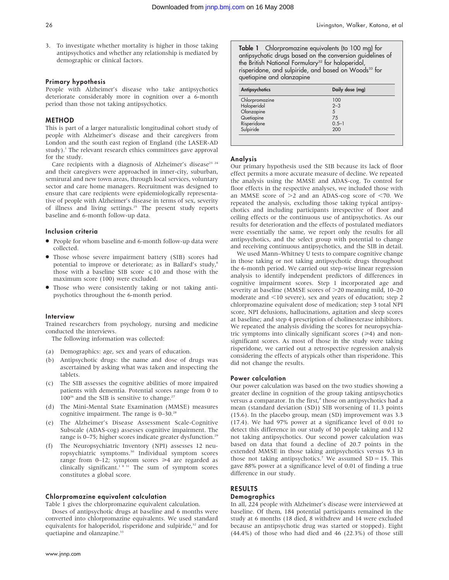- 26 Livingston, Walker, Katona, et al
- 3. To investigate whether mortality is higher in those taking antipsychotics and whether any relationship is mediated by demographic or clinical factors.

# Primary hypothesis

People with Alzheimer's disease who take antipsychotics deteriorate considerably more in cognition over a 6-month period than those not taking antipsychotics.

# METHOD

This is part of a larger naturalistic longitudinal cohort study of people with Alzheimer's disease and their caregivers from London and the south east region of England (the LASER-AD study). $\frac{1}{1}$  The relevant research ethics committees gave approval for the study.

Care recipients with a diagnosis of Alzheimer's disease<sup>23 24</sup> and their caregivers were approached in inner-city, suburban, semirural and new town areas, through local services, voluntary sector and care home managers. Recruitment was designed to ensure that care recipients were epidemiologically representative of people with Alzheimer's disease in terms of sex, severity of illness and living settings.<sup>25</sup> The present study reports baseline and 6-month follow-up data.

#### Inclusion criteria

- People for whom baseline and 6-month follow-up data were collected.
- Those whose severe impairment battery (SIB) scores had potential to improve or deteriorate; as in Ballard's study,<sup>8</sup> those with a baseline SIB score  $\leq 10$  and those with the maximum score (100) were excluded.
- Those who were consistently taking or not taking antipsychotics throughout the 6-month period.

### Interview

Trained researchers from psychology, nursing and medicine conducted the interviews.

The following information was collected:

- (a) Demographics: age, sex and years of education.
- (b) Antipsychotic drugs: the name and dose of drugs was ascertained by asking what was taken and inspecting the tablets.
- (c) The SIB assesses the cognitive abilities of more impaired patients with dementia. Potential scores range from 0 to  $100^{26}$  and the SIB is sensitive to change.<sup>27</sup>
- (d) The Mini-Mental State Examination (MMSE) measures cognitive impairment. The range is  $0-30$ .<sup>28</sup>
- (e) The Alzheimer's Disease Assessment Scale-Cognitive Subscale (ADAS-cog) assesses cognitive impairment. The range is 0–75; higher scores indicate greater dysfunction.<sup>29</sup>
- (f) The Neuropsychiatric Inventory (NPI) assesses 12 neuropsychiatric symptoms.30 Individual symptom scores range from 0–12; symptom scores  $\geq 4$  are regarded as clinically significant.<sup>1 8 31</sup> The sum of symptom scores constitutes a global score.

# Chlorpromazine equivalent calculation

Table 1 gives the chlorpromazine equivalent calculation.

Doses of antipsychotic drugs at baseline and 6 months were converted into chlorpromazine equivalents. We used standard equivalents for haloperidol, risperidone and sulpiride,<sup>32</sup> and for quetiapine and olanzapine.<sup>33</sup>

Table 1 Chlorpromazine equivalents (to 100 mg) for antipsychotic drugs based on the conversion guidelines of the British National Formulary<sup>32</sup> for haloperidol, risperidone, and sulpiride, and based on Woods<sup>33</sup> for quetiapine and olanzapine

| Antipsychotics | Daily dose (mg) |
|----------------|-----------------|
| Chlorpromazine | 100             |
| Haloperidol    | $2 - 3$         |
| Olanzapine     | 5               |
| Quetiapine     | 75              |
| Risperidone    | $0.5 - 1$       |
| Sulpiride      | 200             |

### Analysis

Our primary hypothesis used the SIB because its lack of floor effect permits a more accurate measure of decline. We repeated the analysis using the MMSE and ADAS-cog. To control for floor effects in the respective analyses, we included those with an MMSE score of  $>2$  and an ADAS-cog score of  $<$ 70. We repeated the analysis, excluding those taking typical antipsychotics and including participants irrespective of floor and ceiling effects or the continuous use of antipsychotics. As our results for deterioration and the effects of postulated mediators were essentially the same, we report only the results for all antipsychotics, and the select group with potential to change and receiving continuous antipsychotics, and the SIB in detail.

We used Mann–Whitney U tests to compare cognitive change in those taking or not taking antipsychotic drugs throughout the 6-month period. We carried out step-wise linear regression analysis to identify independent predictors of differences in cognitive impairment scores. Step 1 incorporated age and severity at baseline (MMSE scores of  $>$ 20 meaning mild, 10–20 moderate and <10 severe), sex and years of education; step 2 chlorpromazine equivalent dose of medication; step 3 total NPI score, NPI delusions, hallucinations, agitation and sleep scores at baseline; and step 4 prescription of cholinesterase inhibitors. We repeated the analysis dividing the scores for neuropsychiatric symptoms into clinically significant scores  $(\geq 4)$  and nonsignificant scores. As most of those in the study were taking risperidone, we carried out a retrospective regression analysis considering the effects of atypicals other than risperidone. This did not change the results.

#### Power calculation

Our power calculation was based on the two studies showing a greater decline in cognition of the group taking antipsychotics versus a comparator. In the first,<sup>8</sup> those on antipsychotics had a mean (standard deviation (SD)) SIB worsening of 11.3 points (15.6). In the placebo group, mean (SD) improvement was 3.3 (17.4). We had 97% power at a significance level of 0.01 to detect this difference in our study of 30 people taking and 132 not taking antipsychotics. Our second power calculation was based on data that found a decline of 20.7 points in the extended MMSE in those taking antipsychotics versus 9.3 in those not taking antipsychotics.<sup>7</sup> We assumed  $SD = 15$ . This gave 88% power at a significance level of 0.01 of finding a true difference in our study.

# RESULTS

# **Demographics**

In all, 224 people with Alzheimer's disease were interviewed at baseline. Of them, 184 potential participants remained in the study at 6 months (18 died, 8 withdrew and 14 were excluded because an antipsychotic drug was started or stopped). Eight (44.4%) of those who had died and 46 (22.3%) of those still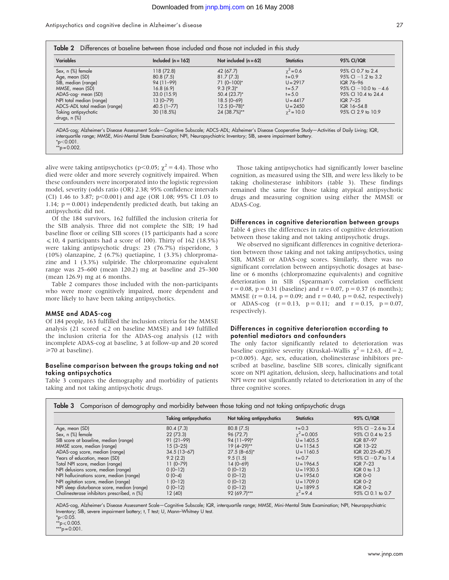Antipsychotics and cognitive decline in Alzheimer's disease 27

| <b>Variables</b>              | Included $(n = 162)$ | Not included $(n = 62)$ | <b>Statistics</b> | <b>95% CI/IQR</b>        |
|-------------------------------|----------------------|-------------------------|-------------------|--------------------------|
| Sex, n (%) female             | 118 (72.8)           | 42 (67.7)               | $\chi^2$ = 0.6    | 95% CI 0.7 to 2.4        |
| Age, mean (SD)                | 80.8(7.5)            | 81.7(7.3)               | $t = 0.9$         | $95\%$ Cl $-1.2$ to 3.2  |
| SIB, median (range)           | 94 (11-99)           | $71(0-100)*$            | $U = 2917$        | IQR 76-96                |
| MMSE, mean (SD)               | 16.8(6.9)            | $9.3(9.3)^{*}$          | $t = 5.7$         | 95% CI $-10.0$ to $-4.6$ |
| ADAS-cog- mean (SD)           | 33.0 (15.9)          | 50.4 (23.7)*            | $t = 5.0$         | 95% CI 10.4 to 24.4      |
| NPI total median (range)      | $13(0 - 79)$         | $18.5(0 - 69)$          | $U = 4417$        | <b>IGR 7-25</b>          |
| ADCS-ADL total median (range) | $40.5(1 - 77)$       | $12.5(0 - 78)^*$        | $U = 2450$        | IQR 16-54.8              |
| Taking antipsychotic          | 30 (18.5%)           | 24 (38.7%)**            | $\gamma^2 = 10.0$ | 95% CI 2.9 to 10.9       |
| drugs, $n$ $%$                |                      |                         |                   |                          |

 $*_{p<0.001}$ .  $*_p$  = 0.002.

alive were taking antipsychotics (p<0.05;  $\chi^2$  = 4.4). Those who died were older and more severely cognitively impaired. When these confounders were incorporated into the logistic regression model, severity (odds ratio (OR) 2.38; 95% confidence intervals (CI) 1.46 to 3.87; p $<$ 0.001) and age (OR 1.08; 95% CI 1.03 to 1.14;  $p = 0.001$ ) independently predicted death, but taking an antipsychotic did not.

Of the 184 survivors, 162 fulfilled the inclusion criteria for the SIB analysis. Three did not complete the SIB; 19 had baseline floor or ceiling SIB scores (15 participants had a score  $\leq 10$ , 4 participants had a score of 100). Thirty of 162 (18.5%) were taking antipsychotic drugs: 23 (76.7%) risperidone, 3 (10%) olanzapine, 2 (6.7%) quetiapine, 1 (3.3%) chlorpromazine and 1 (3.3%) sulpiride. The chlorpromazine equivalent range was 25–600 (mean 120.2) mg at baseline and 25–300 (mean 126.9) mg at 6 months.

Table 2 compares those included with the non-participants who were more cognitively impaired, more dependent and more likely to have been taking antipsychotics.

# MMSE and ADAS-cog

Of 184 people, 163 fulfilled the inclusion criteria for the MMSE analysis (21 scored  $\leq 2$  on baseline MMSE) and 149 fulfilled the inclusion criteria for the ADAS-cog analysis (12 with incomplete ADAS-cog at baseline, 3 at follow-up and 20 scored >70 at baseline).

# Baseline comparison between the groups taking and not taking antipsychotics

Table 3 compares the demography and morbidity of patients taking and not taking antipsychotic drugs.

Those taking antipsychotics had significantly lower baseline cognition, as measured using the SIB, and were less likely to be taking cholinesterase inhibitors (table 3). These findings remained the same for those taking atypical antipsychotic drugs and measuring cognition using either the MMSE or ADAS-Cog.

# Differences in cognitive deterioration between groups

Table 4 gives the differences in rates of cognitive deterioration between those taking and not taking antipsychotic drugs.

We observed no significant differences in cognitive deterioration between those taking and not taking antipsychotics, using SIB, MMSE or ADAS-cog scores. Similarly, there was no significant correlation between antipsychotic dosages at baseline or 6 months (chlorpromazine equivalents) and cognitive deterioration in SIB (Spearman's correlation coefficient  $r = 0.08$ ,  $p = 0.31$  (baseline) and  $r = 0.07$ ,  $p = 0.37$  (6 months); MMSE ( $r = 0.14$ ,  $p = 0.09$ ; and  $r = 0.40$ ,  $p = 0.62$ , respectively) or ADAS-cog  $(r = 0.13, p = 0.11;$  and  $r = 0.15, p = 0.07$ , respectively).

# Differences in cognitive deterioration according to potential mediators and confounders

The only factor significantly related to deterioration was baseline cognitive severity (Kruskal–Wallis  $\chi^2 = 12.63$ , df = 2, p<0.005). Age, sex, education, cholinesterase inhibitors prescribed at baseline, baseline SIB scores, clinically significant score on NPI agitation, delusion, sleep, hallucinations and total NPI were not significantly related to deterioration in any of the three cognitive scores.

|                                             | <b>Taking antipsychotics</b> | Not taking antipsychotics | <b>Statistics</b>  | <b>95% CI/IQR</b>       |
|---------------------------------------------|------------------------------|---------------------------|--------------------|-------------------------|
| Age, mean (SD)                              | 80.4(7.3)                    | 80.8(7.5)                 | $t = 0.3$          | $95\%$ CI $-2.6$ to 3.4 |
| Sex, n (%) female                           | 22(73.3)                     | 96 (72.7)                 | $\gamma^2$ = 0.005 | 95% CI 0.4 to 2.5       |
| SIB score at baseline, median (range)       | $91(21-99)$                  | $94(11 - 99)*$            | $U = 1405.5$       | IQR 87-97               |
| MMSE score, median (range)                  | $15(3 - 25)$                 | 19 (4-29)**               | $U = 1154.5$       | IQR 13-22               |
| ADAS-cog score, median (range)              | $34.5(13-67)$                | $27.5(8-65)^*$            | $U = 1160.5$       | IQR 20.25-40.75         |
| Years of education, mean (SD)               | 9.2(2.2)                     | 9.5(1.5)                  | $t = 0.7$          | $95\%$ CI $-0.7$ to 1.4 |
| Total NPI score, median (range)             | $11(0-79)$                   | $14(0-69)$                | $U = 1964.5$       | IQR $7-23$              |
| NPI delusions score, median (range)         | $0(0-12)$                    | $0(0-12)$                 | $U = 1930.5$       | $IQR$ 0 to 1.3          |
| NPI hallucinations score, median (range)    | $0(0-4)$                     | $0(0-12)$                 | $U = 1954.0$       | $IQR$ $O-O$             |
| NPI agitation score, median (range)         | $1(0-12)$                    | $0(0-12)$                 | $U = 1709.0$       | $IQR0-2$                |
| NPI sleep disturbance score, median (range) | $0(0-12)$                    | $0(0-12)$                 | $U = 1899.5$       | $IQR0-2$                |
| Cholinesterase inhibitors prescribed, n (%) | 12 (40)                      | 92 (69.7)***              | $\gamma^2 = 9.4$   | 95% CI 0.1 to 0.7       |

ADAS-cog, Alzheimer's Disease Assessment Scale—Cognitive Subscale; IQR, interquartile range; MMSE, Mini-Mental State Examination; NPI, Neuropsychiatric Inventory; SIB, severe impairment battery; t, T test; U, Mann–Whitney U test.

 $*_{p<0.05}$ .

 $*$ \*p $\leqslant$  0.005.

\*\*\*p = 0.001.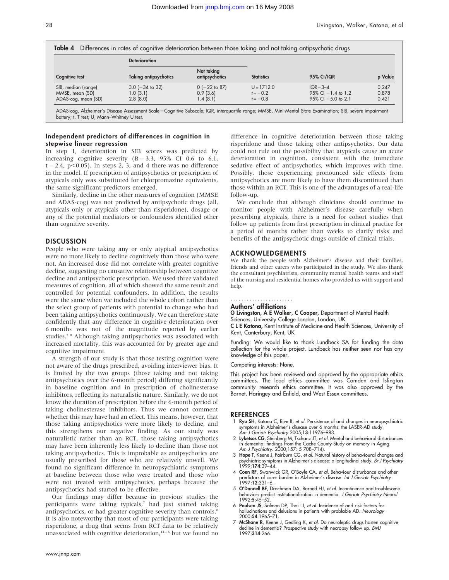| <b>Cognitive test</b> | <b>Deterioration</b>         |                              | <b>Statistics</b> | <b>95% CI/IQR</b>       | p Value |
|-----------------------|------------------------------|------------------------------|-------------------|-------------------------|---------|
|                       | <b>Taking antipsychotics</b> | Not taking<br>antipsychotics |                   |                         |         |
| SIB, median (range)   | $3.0$ ( $-34$ to 32)         | $0$ (-22 to 87)              | $U = 1712.0$      | $IQR-3-4$               | 0.247   |
| MMSE, mean (SD)       | 1.0(3.1)                     | 0.9(3.6)                     | $t = -0.2$        | $95\%$ Cl $-1.4$ to 1.2 | 0.878   |
| ADAS-cog, mean (SD)   | 2.8(8.0)                     | 1.4(8.1)                     | $t = -0.8$        | $95\%$ CI $-5.0$ to 2.1 | 0.421   |

Independent predictors of differences in cognition in stepwise linear regression

In step 1, deterioration in SIB scores was predicted by increasing cognitive severity  $(B = 3.3, 95\% \text{ CI } 0.6 \text{ to } 6.1,$  $t = 2.4$ ,  $p < 0.05$ ). In steps 2, 3, and 4 there was no difference in the model. If prescription of antipsychotics or prescription of atypicals only was substituted for chlorpromazine equivalents, the same significant predictors emerged.

Similarly, decline in the other measures of cognition (MMSE and ADAS-cog) was not predicted by antipsychotic drugs (all, atypicals only or atypicals other than risperidone), dosage or any of the potential mediators or confounders identified other than cognitive severity.

# **DISCUSSION**

People who were taking any or only atypical antipsychotics were no more likely to decline cognitively than those who were not. An increased dose did not correlate with greater cognitive decline, suggesting no causative relationship between cognitive decline and antipsychotic prescription. We used three validated measures of cognition, all of which showed the same result and controlled for potential confounders. In addition, the results were the same when we included the whole cohort rather than the select group of patients with potential to change who had been taking antipsychotics continuously. We can therefore state confidently that any difference in cognitive deterioration over 6 months was not of the magnitude reported by earlier studies.7 8 Although taking antipsychotics was associated with increased mortality, this was accounted for by greater age and cognitive impairment.

A strength of our study is that those testing cognition were not aware of the drugs prescribed, avoiding interviewer bias. It is limited by the two groups (those taking and not taking antipsychotics over the 6-month period) differing significantly in baseline cognition and in prescription of cholinesterase inhibitors, reflecting its naturalistic nature. Similarly, we do not know the duration of prescription before the 6-month period of taking cholinesterase inhibitors. Thus we cannot comment whether this may have had an effect. This means, however, that those taking antipsychotics were more likely to decline, and this strengthens our negative finding. As our study was naturalistic rather than an RCT, those taking antipsychotics may have been inherently less likely to decline than those not taking antipsychotics. This is improbable as antipsychotics are usually prescribed for those who are relatively unwell. We found no significant difference in neuropsychiatric symptoms at baseline between those who were treated and those who were not treated with antipsychotics, perhaps because the antipsychotics had started to be effective.

Our findings may differ because in previous studies the participants were taking typicals,7 had just started taking antipsychotics, or had greater cognitive severity than controls.<sup>8</sup> It is also noteworthy that most of our participants were taking risperidone, a drug that seems from RCT data to be relatively unassociated with cognitive deterioration, $14-16$  but we found no

difference in cognitive deterioration between those taking risperidone and those taking other antipsychotics. Our data could not rule out the possibility that atypicals cause an acute deterioration in cognition, consistent with the immediate sedative effect of antipsychotics, which improves with time. Possibly, those experiencing pronounced side effects from antipsychotics are more likely to have them discontinued than those within an RCT. This is one of the advantages of a real-life follow-up.

We conclude that although clinicians should continue to monitor people with Alzheimer's disease carefully when prescribing atypicals, there is a need for cohort studies that follow up patients from first prescription in clinical practice for a period of months rather than weeks to clarify risks and benefits of the antipsychotic drugs outside of clinical trials.

# ACKNOWLEDGEMENTS

We thank the people with Alzheimer's disease and their families, friends and other carers who participated in the study. We also thank the consultant psychiatrists, community mental health teams and staff of the nursing and residential homes who provided us with support and help.

#### Authors' affiliations .......................

G Livingston, A E Walker, C Cooper, Department of Mental Health

Sciences, University College London, London, UK

C L E Katona, Kent Institute of Medicine and Health Sciences, University of Kent, Canterbury, Kent, UK

Funding: We would like to thank Lundbeck SA for funding the data collection for the whole project. Lundbeck has neither seen nor has any knowledge of this paper.

Competing interests: None.

This project has been reviewed and approved by the appropriate ethics committees. The lead ethics committee was Camden and Islington community research ethics committee. It was also approved by the Barnet, Haringey and Enfield, and West Essex committees.

#### REFERENCES

- 1 Ryu SH, Katona C, Rive B, et al. Persistence of and changes in neuropsychiatric symptoms in Alzheimer's disease over 6 months: the LASER-AD study. Am J Geriatr Psychiatry 2005;13:11976–983.
- 2 Lyketsos CG, Steinberg M, Tschanz JT, et al. Mental and behavioral disturbances in dementia: findings from the Cache County Study on memory in Aging.
- Am *J Psychiatry.* 2000;157: 5 708–714).<br>3 Hope T, Keene J, Fairburn CG, et al. Natural history of behavioural changes and psychiatric symptoms in Alzheimer's disease: a longitudinal study. Br J Psychiatry - psycniairic اpsycniairic<br>1999;**174**:39–44.
- 4 Coen RF, Swanwick GR, O'Boyle CA, et al. Behaviour disturbance and other predictors of carer burden in Alzheimer's disease. Int J Geriatr Psychiatry<br>1997;**12**:331–6.
- 5 O'Donnell BF, Drachman DA, Barned HJ, et al. Incontinence and troublesome behaviors predict institutionalisation in dementia. J Geriatr Psychiatry Neurol  $1992.5.45 - 52$
- 6 Paulsen JS, Salmon DP, Thai LJ, et al. Incidence of and risk factors for hallucinations and delusions in patients with problable AD. Neurology 2000;54:1965–71.
- 7 McShane R, Keene J, Gedling K, et al. Do neuroleptic drugs hasten cognitive decline in dementia? Prospective study with necropsy follow up. BMJ 1997;314:266.